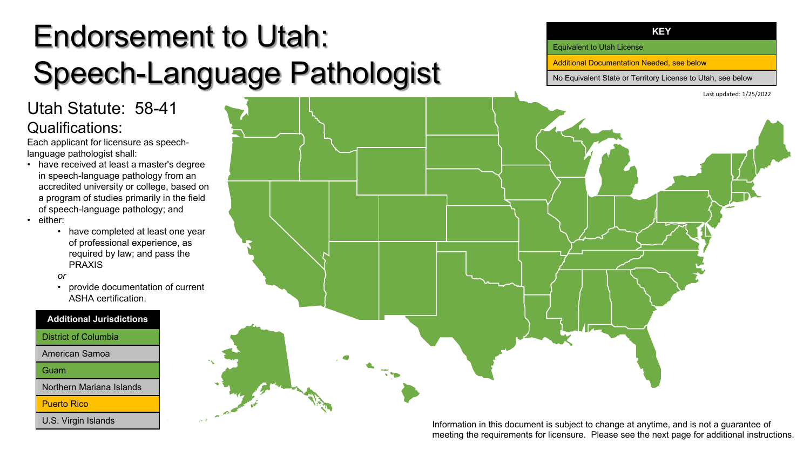# Endorsement to Utah: Speech-Language Pathologist

## Utah Statute: 58-41 Qualifications:

Each applicant for licensure as speechlanguage pathologist shall:

- have received at least a master's degree in speech-language pathology from an accredited university or college, based on a program of studies primarily in the field of speech-language pathology; and
- either:
	- have completed at least one year of professional experience, as required by law; and pass the PRAXIS

*or*

• provide documentation of current ASHA certification.

**Additional Jurisdictions** District of Columbia American Samoa Guam

Northern Mariana Islands

Puerto Rico

U.S. Virgin Islands



Information in this document is subject to change at anytime, and is not a guarantee of meeting the requirements for licensure. Please see the next page for additional instructions.

#### **KEY**

Equivalent to Utah License

Additional Documentation Needed, see below

No Equivalent State or Territory License to Utah, see below